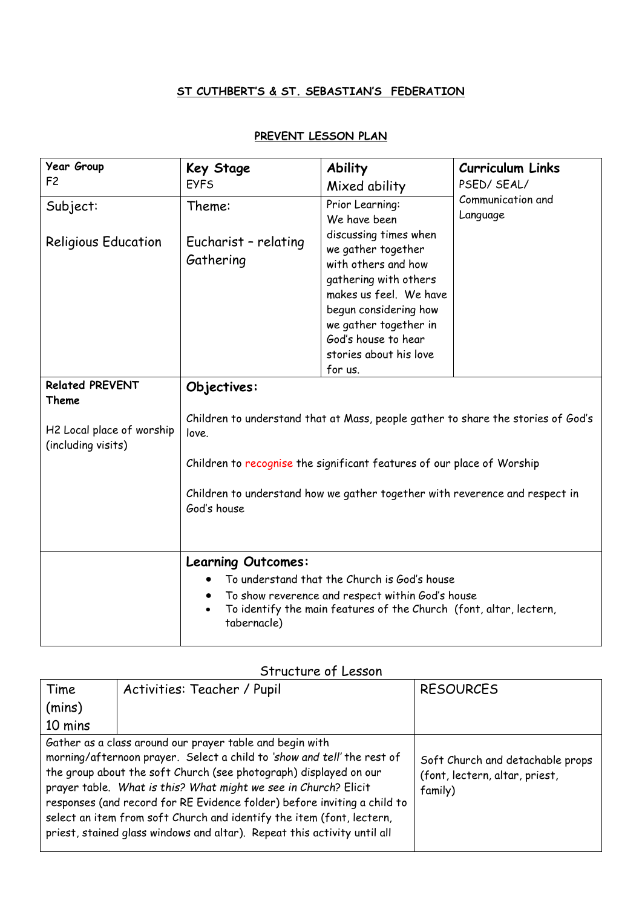## **ST CUTHBERT'S & ST. SEBASTIAN'S FEDERATION**

## **PREVENT LESSON PLAN**

| <b>Year Group</b>                                                                  | Key Stage                                                                                                                                                                                                                                                                                   | <b>Ability</b>                                                                                                                                                                                             | <b>Curriculum Links</b>       |
|------------------------------------------------------------------------------------|---------------------------------------------------------------------------------------------------------------------------------------------------------------------------------------------------------------------------------------------------------------------------------------------|------------------------------------------------------------------------------------------------------------------------------------------------------------------------------------------------------------|-------------------------------|
| F <sub>2</sub>                                                                     | <b>EYFS</b>                                                                                                                                                                                                                                                                                 | Mixed ability                                                                                                                                                                                              | PSED/SEAL/                    |
| Subject:<br><b>Religious Education</b>                                             | Theme:<br>Eucharist - relating<br>Gathering                                                                                                                                                                                                                                                 | Prior Learning:<br>We have been<br>discussing times when<br>we gather together<br>with others and how<br>gathering with others<br>makes us feel. We have<br>begun considering how<br>we gather together in | Communication and<br>Language |
|                                                                                    |                                                                                                                                                                                                                                                                                             | God's house to hear                                                                                                                                                                                        |                               |
|                                                                                    |                                                                                                                                                                                                                                                                                             | stories about his love                                                                                                                                                                                     |                               |
| <b>Related PREVENT</b><br>Theme<br>H2 Local place of worship<br>(including visits) | for us.<br>Objectives:<br>Children to understand that at Mass, people gather to share the stories of God's<br>love.<br>Children to recognise the significant features of our place of Worship<br>Children to understand how we gather together with reverence and respect in<br>God's house |                                                                                                                                                                                                            |                               |
|                                                                                    | <b>Learning Outcomes:</b><br>To understand that the Church is God's house<br>To show reverence and respect within God's house<br>To identify the main features of the Church (font, altar, lectern,<br>$\bullet$<br>tabernacle)                                                             |                                                                                                                                                                                                            |                               |

## Structure of Lesson

| Time                                                                                                                                                                                                                                                                                                                                                                                                                                                                                                         | Activities: Teacher / Pupil | <b>RESOURCES</b>                                                              |
|--------------------------------------------------------------------------------------------------------------------------------------------------------------------------------------------------------------------------------------------------------------------------------------------------------------------------------------------------------------------------------------------------------------------------------------------------------------------------------------------------------------|-----------------------------|-------------------------------------------------------------------------------|
| (mins)                                                                                                                                                                                                                                                                                                                                                                                                                                                                                                       |                             |                                                                               |
| 10 mins                                                                                                                                                                                                                                                                                                                                                                                                                                                                                                      |                             |                                                                               |
| Gather as a class around our prayer table and begin with<br>morning/afternoon prayer. Select a child to 'show and tell' the rest of<br>the group about the soft Church (see photograph) displayed on our<br>prayer table. What is this? What might we see in Church? Elicit<br>responses (and record for RE Evidence folder) before inviting a child to<br>select an item from soft Church and identify the item (font, lectern,<br>priest, stained glass windows and altar). Repeat this activity until all |                             | Soft Church and detachable props<br>(font, lectern, altar, priest,<br>family) |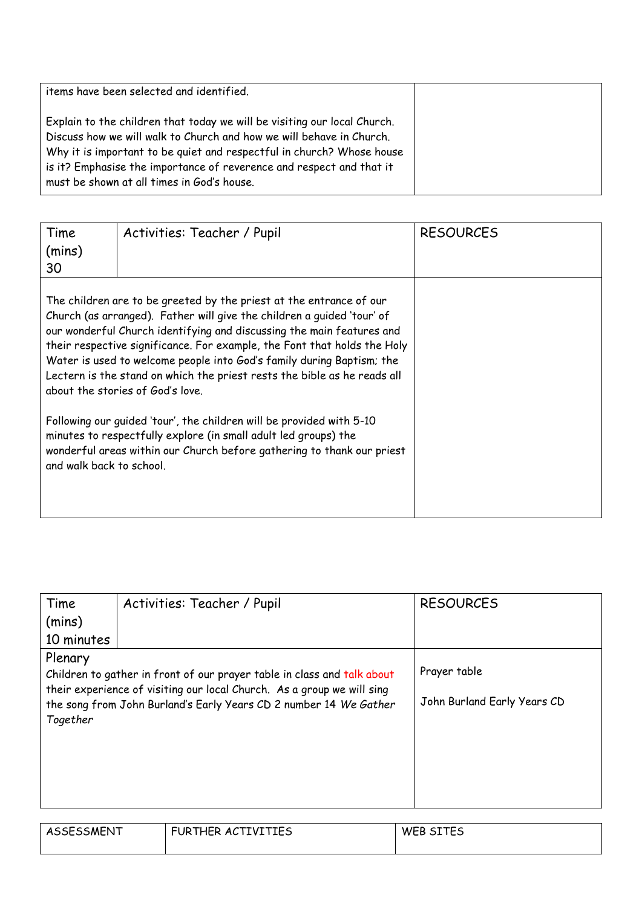| items have been selected and identified.                                                                                                                                                                                                                                                                                                        |  |
|-------------------------------------------------------------------------------------------------------------------------------------------------------------------------------------------------------------------------------------------------------------------------------------------------------------------------------------------------|--|
| Explain to the children that today we will be visiting our local Church.<br>Discuss how we will walk to Church and how we will behave in Church.<br>Why it is important to be quiet and respectful in church? Whose house<br>is it? Emphasise the importance of reverence and respect and that it<br>must be shown at all times in God's house. |  |

| Time<br>(mins)<br>30                                                                                                                                                                                                                                                                                                                                                                                                                                                                        | Activities: Teacher / Pupil | <b>RESOURCES</b> |
|---------------------------------------------------------------------------------------------------------------------------------------------------------------------------------------------------------------------------------------------------------------------------------------------------------------------------------------------------------------------------------------------------------------------------------------------------------------------------------------------|-----------------------------|------------------|
| The children are to be greeted by the priest at the entrance of our<br>Church (as arranged). Father will give the children a guided 'tour' of<br>our wonderful Church identifying and discussing the main features and<br>their respective significance. For example, the Font that holds the Holy<br>Water is used to welcome people into God's family during Baptism; the<br>Lectern is the stand on which the priest rests the bible as he reads all<br>about the stories of God's love. |                             |                  |
| Following our guided 'tour', the children will be provided with 5-10<br>minutes to respectfully explore (in small adult led groups) the<br>wonderful areas within our Church before gathering to thank our priest<br>and walk back to school.                                                                                                                                                                                                                                               |                             |                  |

| Time                                                                    | Activities: Teacher / Pupil                                       | <b>RESOURCES</b>            |
|-------------------------------------------------------------------------|-------------------------------------------------------------------|-----------------------------|
| (mins)                                                                  |                                                                   |                             |
| 10 minutes                                                              |                                                                   |                             |
| Plenary                                                                 |                                                                   |                             |
| Children to gather in front of our prayer table in class and talk about |                                                                   | Prayer table                |
| their experience of visiting our local Church. As a group we will sing  |                                                                   |                             |
|                                                                         | the song from John Burland's Early Years CD 2 number 14 We Gather | John Burland Early Years CD |
| Together                                                                |                                                                   |                             |
|                                                                         |                                                                   |                             |
|                                                                         |                                                                   |                             |
|                                                                         |                                                                   |                             |
|                                                                         |                                                                   |                             |
|                                                                         |                                                                   |                             |

| ASSESSMENT | FURTHER ACTIVITIES | WEB SITES |
|------------|--------------------|-----------|
|            |                    |           |